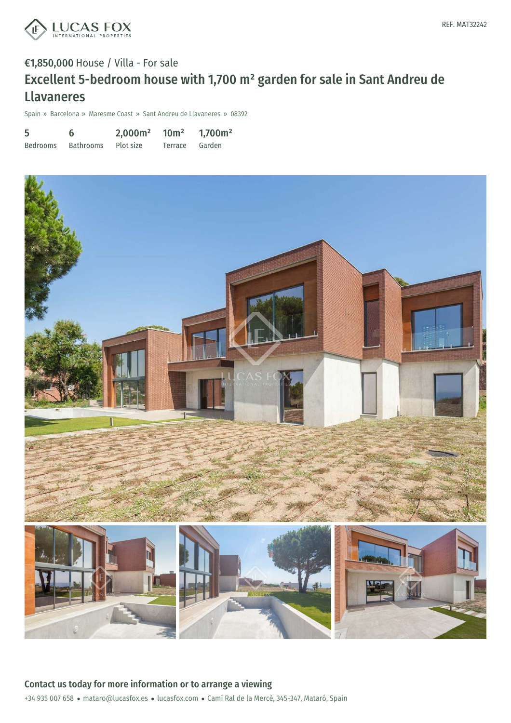

# €1,850,000 House / Villa - For sale Excellent 5-bedroom house with 1,700 m² garden for sale in Sant Andreu de Llavaneres

Spain » Barcelona » Maresme Coast » Sant Andreu de Llavaneres » 08392

| 5               | 6         | 2,000m <sup>2</sup> | 10 <sup>m²</sup> | 1,700m <sup>2</sup> |
|-----------------|-----------|---------------------|------------------|---------------------|
| <b>Bedrooms</b> | Bathrooms | Plot size           | Terrace Garden   |                     |

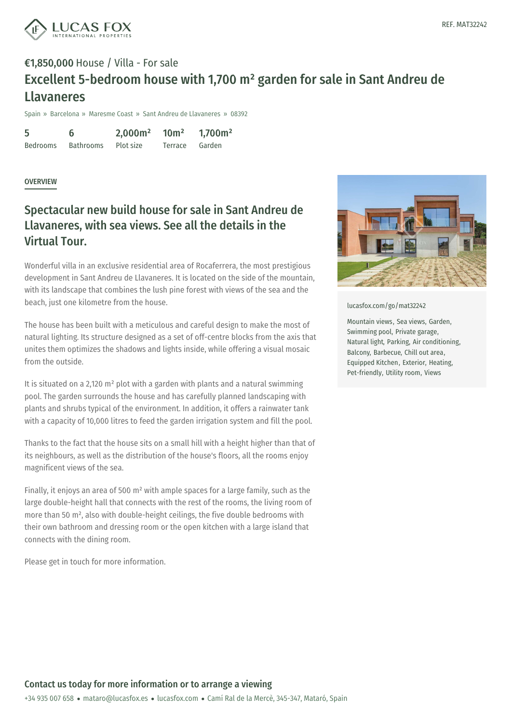

# €1,850,000 House / Villa - For sale Excellent 5-bedroom house with 1,700 m² garden for sale in Sant Andreu de Llavaneres

Spain » Barcelona » Maresme Coast » Sant Andreu de Llavaneres » 08392

5 Bedrooms 6 Bathrooms 2,000m² Plot size 10m² Terrace 1,700m² Garden

#### **OVERVIEW**

### Spectacular new build house for sale in Sant Andreu de Llavaneres, with sea views. See all the details in the Virtual Tour.

Wonderful villa in an exclusive residential area of Rocaferrera, the most prestigious development in Sant Andreu de Llavaneres. It is located on the side of the mountain, with its landscape that combines the lush pine forest with views of the sea and the beach, just one kilometre from the house.

The house has been built with a meticulous and careful design to make the most of natural lighting. Its structure designed as a set of off-centre blocks from the axis that unites them optimizes the shadows and lights inside, while offering a visual mosaic from the outside.

It is situated on a 2,120  $m<sup>2</sup>$  plot with a garden with plants and a natural swimming pool. The garden surrounds the house and has carefully planned landscaping with plants and shrubs typical of the environment. In addition, it offers a rainwater tank with a capacity of 10,000 litres to feed the garden irrigation system and fill the pool.

Thanks to the fact that the house sits on a small hill with a height higher than that of its neighbours, as well as the distribution of the house's floors, all the rooms enjoy magnificent views of the sea.

Finally, it enjoys an area of 500  $m<sup>2</sup>$  with ample spaces for a large family, such as the large double-height hall that connects with the rest of the rooms, the living room of more than 50 m², also with double-height ceilings, the five double bedrooms with their own bathroom and [dressing](mailto:mataro@lucasfox.es) room or the [open](https://www.lucasfox.com) kitchen with a large island that connects with the dining room.

Please get in touch for more information.



[lucasfox.com/go/mat32242](https://www.lucasfox.com/go/mat32242)

Mountain views, Sea views, Garden, Swimming pool, Private garage, Natural light, Parking, Air conditioning, Balcony, Barbecue, Chill out area, Equipped Kitchen, Exterior, Heating, Pet-friendly, Utility room, Views